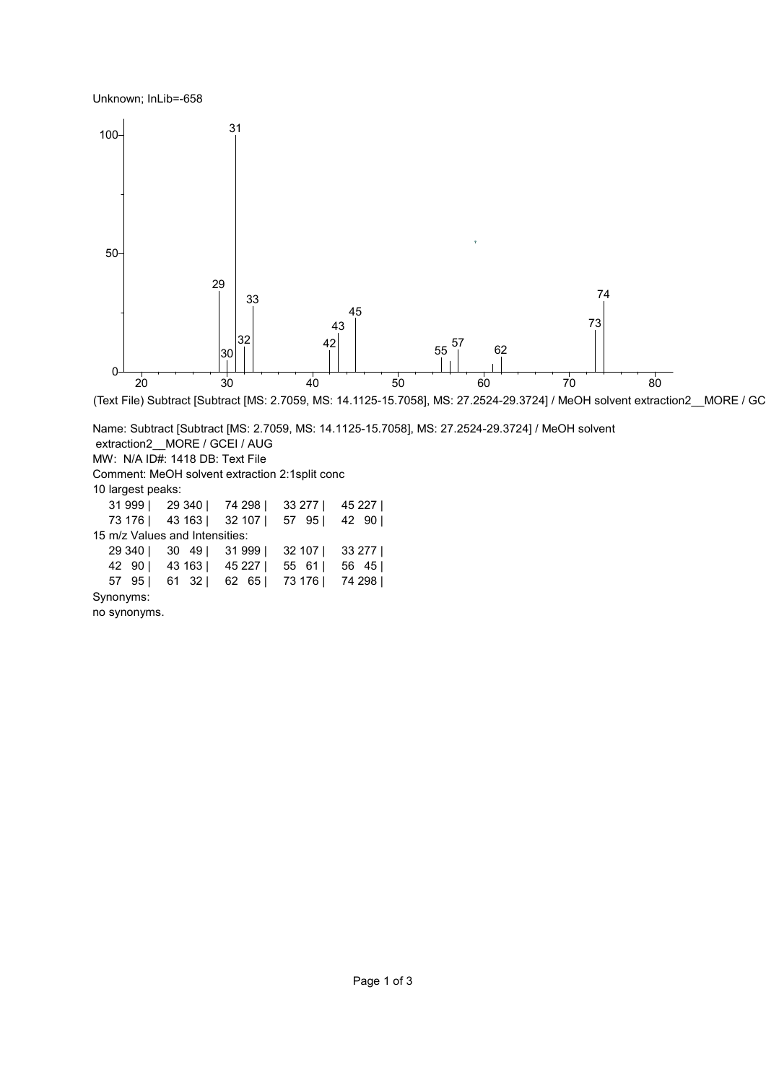Unknown; InLib=-658



(Text File) Subtract [Subtract [MS: 2.7059, MS: 14.1125-15.7058], MS: 27.2524-29.3724] / MeOH solvent extraction2\_MORE / GC

Name: Subtract [Subtract [MS: 2.7059, MS: 14.1125-15.7058], MS: 27.2524-29.3724] / MeOH solvent extraction2 MORE / GCEI / AUG MW: N/A ID#: 1418 DB: Text File Comment: MeOH solvent extraction 2:1split conc 10 largest peaks: 999 | 29 340 | 74 298 | 33 277 | 45 227 | 176 | 43 163 | 32 107 | 57 95 | 42 90 | 15 m/z Values and Intensities: 340 | 30 49 | 31 999 | 32 107 | 33 277 | 90 | 43 163 | 45 227 | 55 61 | 56 45 | 95 | 61 32 | 62 65 | 73 176 | 74 298 | Synonyms: no synonyms.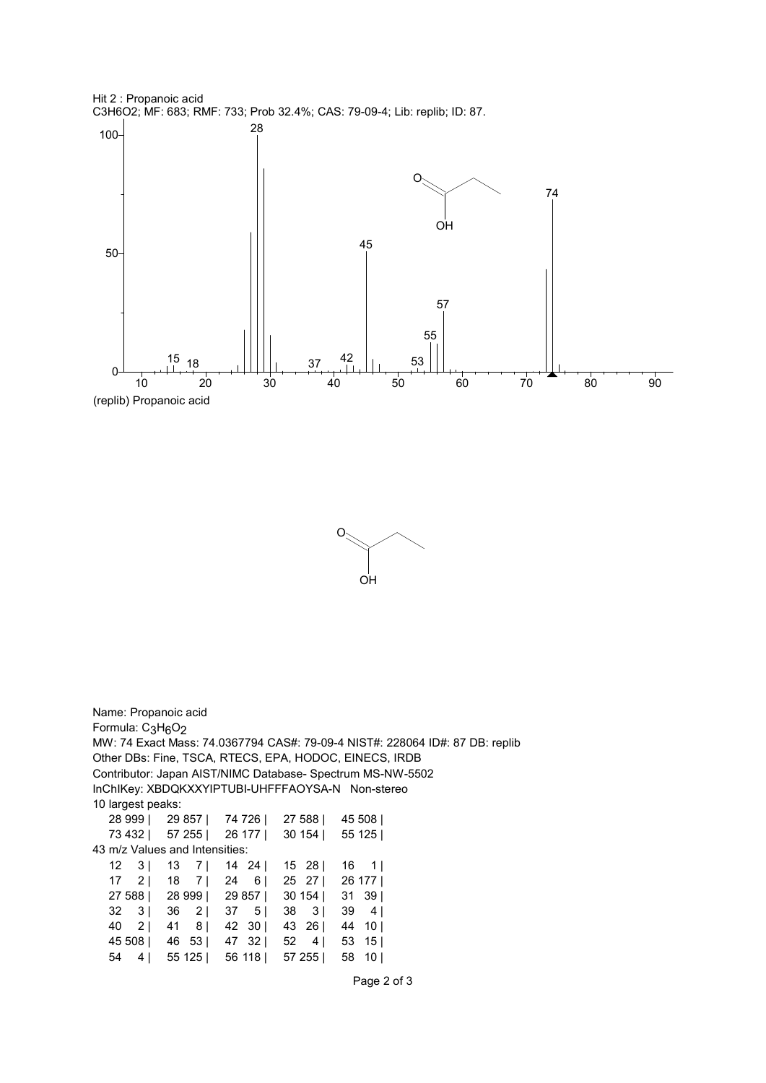





Name: Propanoic acid Formula: C<sub>3</sub>H<sub>6</sub>O<sub>2</sub> MW: 74 Exact Mass: 74.0367794 CAS#: 79-09-4 NIST#: 228064 ID#: 87 DB: replib Other DBs: Fine, TSCA, RTECS, EPA, HODOC, EINECS, IRDB Contributor: Japan AIST/NIMC Database- Spectrum MS-NW-5502 InChIKey: XBDQKXXYIPTUBI-UHFFFAOYSA-N Non-stereo 10 largest peaks: 28 999 | 29 857 | 74 726 | 27 588 | 45 508 | 73 432 | 57 255 | 26 177 | 30 154 | 55 125 | 43 m/z Values and Intensities: 12 3 | 13 7 | 14 24 | 15 28 | 16 1 | 17 2 | 18 7 | 24 6 | 25 27 | 26 177 | 27 588 | 28 999 | 29 857 | 30 154 | 31 39 | 32 3 | 36 2 | 37 5 | 38 3 | 39 4 | 40 2 | 41 8 | 42 30 | 43 26 | 44 10 | 45 508 | 46 53 | 47 32 | 52 4 | 53 15 | 54 4 | 55 125 | 56 118 | 57 255 | 58 10 |